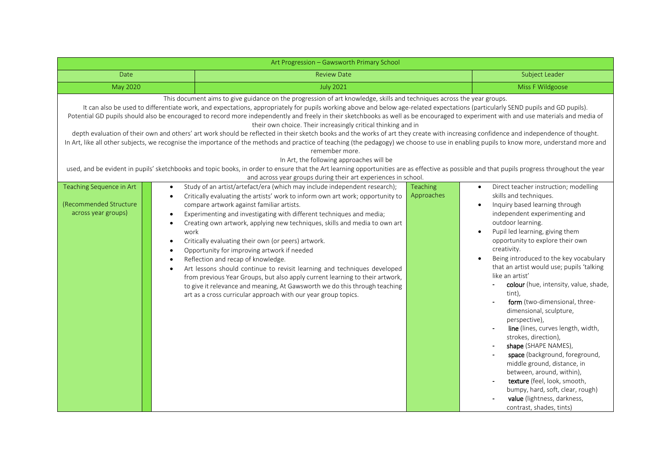| Art Progression - Gawsworth Primary School                                                                                                                                                                                                                                                                                                                                                                                                                                                                                                                                                                                                                                                                                                                                                                                                                                                                                                                                                                                                                                                                                                                                                                                                                                                                                                 |                                                                                                                                                                                                                                                                                                                                                                                                                                                                                                                                                                                                                                                                                                                                                                                                                        |            |                                                                                                                                                                                                                                                                                                                                                                                                                                                                                                                                                                                                                                                                                                                                                                                                                                                                |  |  |  |  |  |
|--------------------------------------------------------------------------------------------------------------------------------------------------------------------------------------------------------------------------------------------------------------------------------------------------------------------------------------------------------------------------------------------------------------------------------------------------------------------------------------------------------------------------------------------------------------------------------------------------------------------------------------------------------------------------------------------------------------------------------------------------------------------------------------------------------------------------------------------------------------------------------------------------------------------------------------------------------------------------------------------------------------------------------------------------------------------------------------------------------------------------------------------------------------------------------------------------------------------------------------------------------------------------------------------------------------------------------------------|------------------------------------------------------------------------------------------------------------------------------------------------------------------------------------------------------------------------------------------------------------------------------------------------------------------------------------------------------------------------------------------------------------------------------------------------------------------------------------------------------------------------------------------------------------------------------------------------------------------------------------------------------------------------------------------------------------------------------------------------------------------------------------------------------------------------|------------|----------------------------------------------------------------------------------------------------------------------------------------------------------------------------------------------------------------------------------------------------------------------------------------------------------------------------------------------------------------------------------------------------------------------------------------------------------------------------------------------------------------------------------------------------------------------------------------------------------------------------------------------------------------------------------------------------------------------------------------------------------------------------------------------------------------------------------------------------------------|--|--|--|--|--|
| Date                                                                                                                                                                                                                                                                                                                                                                                                                                                                                                                                                                                                                                                                                                                                                                                                                                                                                                                                                                                                                                                                                                                                                                                                                                                                                                                                       | <b>Review Date</b>                                                                                                                                                                                                                                                                                                                                                                                                                                                                                                                                                                                                                                                                                                                                                                                                     |            | Subject Leader                                                                                                                                                                                                                                                                                                                                                                                                                                                                                                                                                                                                                                                                                                                                                                                                                                                 |  |  |  |  |  |
| <b>May 2020</b>                                                                                                                                                                                                                                                                                                                                                                                                                                                                                                                                                                                                                                                                                                                                                                                                                                                                                                                                                                                                                                                                                                                                                                                                                                                                                                                            | <b>July 2021</b>                                                                                                                                                                                                                                                                                                                                                                                                                                                                                                                                                                                                                                                                                                                                                                                                       |            | Miss F Wildgoose                                                                                                                                                                                                                                                                                                                                                                                                                                                                                                                                                                                                                                                                                                                                                                                                                                               |  |  |  |  |  |
| This document aims to give guidance on the progression of art knowledge, skills and techniques across the year groups.<br>It can also be used to differentiate work, and expectations, appropriately for pupils working above and below age-related expectations (particularly SEND pupils and GD pupils).<br>Potential GD pupils should also be encouraged to record more independently and freely in their sketchbooks as well as be encouraged to experiment with and use materials and media of<br>their own choice. Their increasingly critical thinking and in<br>depth evaluation of their own and others' art work should be reflected in their sketch books and the works of art they create with increasing confidence and independence of thought.<br>In Art, like all other subjects, we recognise the importance of the methods and practice of teaching (the pedagogy) we choose to use in enabling pupils to know more, understand more and<br>remember more.<br>In Art, the following approaches will be<br>used, and be evident in pupils' sketchbooks and topic books, in order to ensure that the Art learning opportunities are as effective as possible and that pupils progress throughout the year<br>and across year groups during their art experiences in school.<br>Teaching Sequence in Art<br><b>Teaching</b> |                                                                                                                                                                                                                                                                                                                                                                                                                                                                                                                                                                                                                                                                                                                                                                                                                        |            |                                                                                                                                                                                                                                                                                                                                                                                                                                                                                                                                                                                                                                                                                                                                                                                                                                                                |  |  |  |  |  |
| $\bullet$<br>$\bullet$<br>(Recommended Structure)<br>across year groups)<br>$\bullet$<br>work<br>٠<br>$\bullet$                                                                                                                                                                                                                                                                                                                                                                                                                                                                                                                                                                                                                                                                                                                                                                                                                                                                                                                                                                                                                                                                                                                                                                                                                            | Study of an artist/artefact/era (which may include independent research);<br>Critically evaluating the artists' work to inform own art work; opportunity to<br>compare artwork against familiar artists.<br>Experimenting and investigating with different techniques and media;<br>Creating own artwork, applying new techniques, skills and media to own art<br>Critically evaluating their own (or peers) artwork.<br>Opportunity for improving artwork if needed<br>Reflection and recap of knowledge.<br>Art lessons should continue to revisit learning and techniques developed<br>from previous Year Groups, but also apply current learning to their artwork,<br>to give it relevance and meaning, At Gawsworth we do this through teaching<br>art as a cross curricular approach with our year group topics. | Approaches | Direct teacher instruction; modelling<br>$\bullet$<br>skills and techniques.<br>Inquiry based learning through<br>$\bullet$<br>independent experimenting and<br>outdoor learning.<br>Pupil led learning, giving them<br>$\bullet$<br>opportunity to explore their own<br>creativity.<br>Being introduced to the key vocabulary<br>$\bullet$<br>that an artist would use; pupils 'talking<br>like an artist'<br>colour (hue, intensity, value, shade,<br>tint),<br>form (two-dimensional, three-<br>dimensional, sculpture,<br>perspective),<br>line (lines, curves length, width,<br>strokes, direction),<br>shape (SHAPE NAMES),<br>space (background, foreground,<br>middle ground, distance, in<br>between, around, within),<br>texture (feel, look, smooth,<br>bumpy, hard, soft, clear, rough)<br>value (lightness, darkness,<br>contrast, shades, tints) |  |  |  |  |  |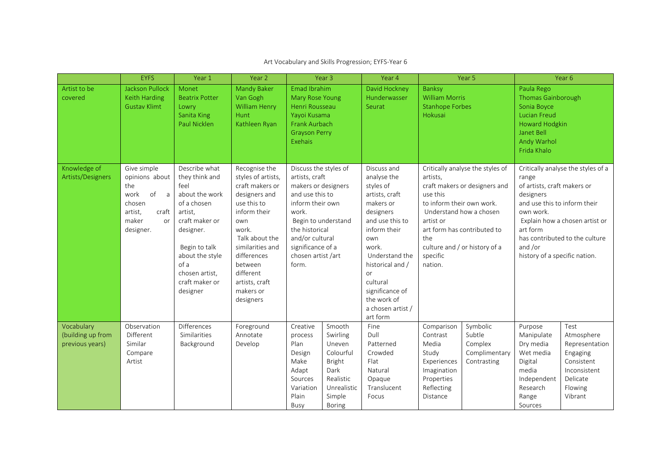|                                                    | <b>EYFS</b>                                                                                                                    | Year 1                                                                                                                                                                                                         | Year 2                                                                                                                                                                                                                                          |                                                                                                                                                                                                                               | Year <sub>3</sub>                                                                                                         | Year 4                                                                                                                                                                                                                                                            |                                                                                                                | Year 5                                                                                                                                                       |                                                                                                                                                        | Year 6                                                                                                           |
|----------------------------------------------------|--------------------------------------------------------------------------------------------------------------------------------|----------------------------------------------------------------------------------------------------------------------------------------------------------------------------------------------------------------|-------------------------------------------------------------------------------------------------------------------------------------------------------------------------------------------------------------------------------------------------|-------------------------------------------------------------------------------------------------------------------------------------------------------------------------------------------------------------------------------|---------------------------------------------------------------------------------------------------------------------------|-------------------------------------------------------------------------------------------------------------------------------------------------------------------------------------------------------------------------------------------------------------------|----------------------------------------------------------------------------------------------------------------|--------------------------------------------------------------------------------------------------------------------------------------------------------------|--------------------------------------------------------------------------------------------------------------------------------------------------------|------------------------------------------------------------------------------------------------------------------|
| Artist to be<br>covered                            | <b>Jackson Pullock</b><br>Keith Harding<br><b>Gustav Klimt</b>                                                                 | Monet<br><b>Beatrix Potter</b><br>Lowry<br>Sanita King<br>Paul Nicklen                                                                                                                                         | <b>Mandy Baker</b><br>Van Gogh<br><b>William Henry</b><br>Hunt<br>Kathleen Ryan                                                                                                                                                                 | Emad Ibrahim<br>Mary Rose Young<br>Henri Rousseau<br>Yayoi Kusama<br>Frank Aurbach<br><b>Grayson Perry</b><br>Exehais                                                                                                         |                                                                                                                           | David Hockney<br>Hunderwasser<br>Seurat                                                                                                                                                                                                                           | Banksy<br><b>William Morris</b><br><b>Stanhope Forbes</b><br>Hokusai                                           |                                                                                                                                                              | Paula Rego<br>Thomas Gainborough<br>Sonia Boyce<br><b>Lucian Freud</b><br>Howard Hodgkin<br>Janet Bell<br>Andy Warhol<br>Frida Khalo                   |                                                                                                                  |
| Knowledge of<br>Artists/Designers                  | Give simple<br>opinions about<br>the<br>of<br>work<br>$\overline{a}$<br>chosen<br>craft<br>artist,<br>maker<br>or<br>designer. | Describe what<br>they think and<br>feel<br>about the work<br>of a chosen<br>artist,<br>craft maker or<br>designer.<br>Begin to talk<br>about the style<br>of a<br>chosen artist.<br>craft maker or<br>designer | Recognise the<br>styles of artists,<br>craft makers or<br>designers and<br>use this to<br>inform their<br>own<br>work.<br>Talk about the<br>similarities and<br>differences<br>between<br>different<br>artists, craft<br>makers or<br>designers | Discuss the styles of<br>artists, craft<br>makers or designers<br>and use this to<br>inform their own<br>work.<br>Begin to understand<br>the historical<br>and/or cultural<br>significance of a<br>chosen artist/art<br>form. |                                                                                                                           | Discuss and<br>analyse the<br>styles of<br>artists, craft<br>makers or<br>designers<br>and use this to<br>inform their<br>own<br>work.<br>Understand the<br>historical and /<br>or<br>cultural<br>significance of<br>the work of<br>a chosen artist /<br>art form | artists,<br>use this<br>to inform their own work.<br>artist or<br>the<br>specific<br>nation.                   | Critically analyse the styles of<br>craft makers or designers and<br>Understand how a chosen<br>art form has contributed to<br>culture and / or history of a | range<br>of artists, craft makers or<br>designers<br>and use this to inform their<br>own work.<br>art form<br>and /or<br>history of a specific nation. | Critically analyse the styles of a<br>Explain how a chosen artist or<br>has contributed to the culture           |
| Vocabulary<br>(building up from<br>previous years) | Observation<br>Different<br>Similar<br>Compare<br>Artist                                                                       | <b>Differences</b><br>Similarities<br>Background                                                                                                                                                               | Foreground<br>Annotate<br>Develop                                                                                                                                                                                                               | Creative<br>process<br>Plan<br>Design<br>Make<br>Adapt<br>Sources<br>Variation<br>Plain<br>Busy                                                                                                                               | Smooth<br>Swirling<br>Uneven<br>Colourful<br><b>Bright</b><br>Dark<br>Realistic<br>Unrealistic<br>Simple<br><b>Boring</b> | Fine<br>Dull<br>Patterned<br>Crowded<br>Flat<br>Natural<br>Opaque<br>Translucent<br>Focus                                                                                                                                                                         | Comparison<br>Contrast<br>Media<br>Study<br>Experiences<br>Imagination<br>Properties<br>Reflecting<br>Distance | Symbolic<br>Subtle<br>Complex<br>Complimentary<br>Contrasting                                                                                                | Purpose<br>Manipulate<br>Dry media<br>Wet media<br>Digital<br>media<br>Independent<br>Research<br>Range<br>Sources                                     | Test<br>Atmosphere<br>Representation<br>Engaging<br>Consistent<br>Inconsistent<br>Delicate<br>Flowing<br>Vibrant |

## Art Vocabulary and Skills Progression; EYFS-Year 6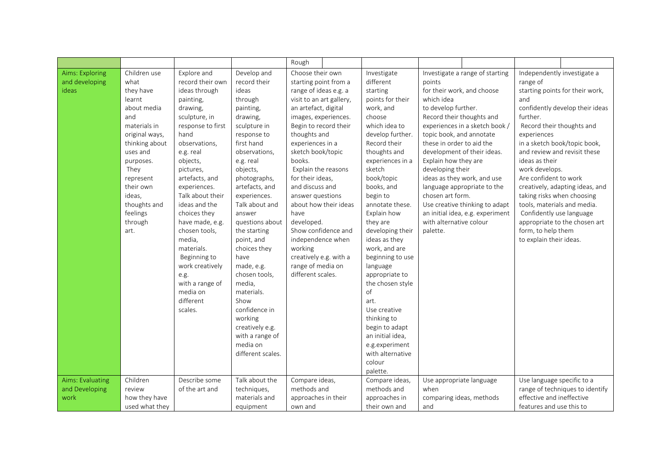|                  |                |                   |                   | Rough                    |                  |                                  |                              |                                 |
|------------------|----------------|-------------------|-------------------|--------------------------|------------------|----------------------------------|------------------------------|---------------------------------|
| Aims: Exploring  | Children use   | Explore and       | Develop and       | Choose their own         | Investigate      | Investigate a range of starting  | Independently investigate a  |                                 |
| and developing   | what           | record their own  | record their      | starting point from a    | different        | points                           | range of                     |                                 |
| ideas            | they have      | ideas through     | ideas             | range of ideas e.g. a    | starting         | for their work, and choose       |                              | starting points for their work, |
|                  | learnt         | painting,         | through           | visit to an art gallery, | points for their | which idea                       | and                          |                                 |
|                  | about media    | drawing,          | painting,         | an artefact, digital     | work, and        | to develop further.              |                              | confidently develop their ideas |
|                  | and            | sculpture, in     | drawing,          | images, experiences.     | choose           | Record their thoughts and        | further.                     |                                 |
|                  | materials in   | response to first | sculpture in      | Begin to record their    | which idea to    | experiences in a sketch book /   | Record their thoughts and    |                                 |
|                  | original ways, | hand              | response to       | thoughts and             | develop further. | topic book, and annotate         | experiences                  |                                 |
|                  | thinking about | observations,     | first hand        | experiences in a         | Record their     | these in order to aid the        |                              | in a sketch book/topic book,    |
|                  | uses and       | e.g. real         | observations,     | sketch book/topic        | thoughts and     | development of their ideas.      | and review and revisit these |                                 |
|                  | purposes.      | objects,          | e.g. real         | books.                   | experiences in a | Explain how they are             | ideas as their               |                                 |
|                  | They           | pictures,         | objects,          | Explain the reasons      | sketch           | developing their                 | work develops.               |                                 |
|                  | represent      | artefacts, and    | photographs,      | for their ideas,         | book/topic       | ideas as they work, and use      | Are confident to work        |                                 |
|                  | their own      | experiences.      | artefacts, and    | and discuss and          | books, and       | language appropriate to the      |                              | creatively, adapting ideas, and |
|                  | ideas.         | Talk about their  | experiences.      | answer questions         | begin to         | chosen art form.                 | taking risks when choosing   |                                 |
|                  | thoughts and   | ideas and the     | Talk about and    | about how their ideas    | annotate these.  | Use creative thinking to adapt   | tools, materials and media.  |                                 |
|                  | feelings       | choices they      | answer            | have                     | Explain how      | an initial idea, e.g. experiment | Confidently use language     |                                 |
|                  | through        | have made, e.g.   | questions about   | developed.               | they are         | with alternative colour          |                              | appropriate to the chosen art   |
|                  | art.           | chosen tools,     | the starting      | Show confidence and      | developing their | palette.                         | form, to help them           |                                 |
|                  |                | media,            | point, and        | independence when        | ideas as they    |                                  | to explain their ideas.      |                                 |
|                  |                | materials.        | choices they      | working                  | work, and are    |                                  |                              |                                 |
|                  |                | Beginning to      | have              | creatively e.g. with a   | beginning to use |                                  |                              |                                 |
|                  |                | work creatively   | made, e.g.        | range of media on        | language         |                                  |                              |                                 |
|                  |                | e.g.              | chosen tools,     | different scales.        | appropriate to   |                                  |                              |                                 |
|                  |                | with a range of   | media,            |                          | the chosen style |                                  |                              |                                 |
|                  |                | media on          | materials.        |                          | of               |                                  |                              |                                 |
|                  |                | different         | Show              |                          | art.             |                                  |                              |                                 |
|                  |                | scales.           | confidence in     |                          | Use creative     |                                  |                              |                                 |
|                  |                |                   | working           |                          | thinking to      |                                  |                              |                                 |
|                  |                |                   | creatively e.g.   |                          | begin to adapt   |                                  |                              |                                 |
|                  |                |                   | with a range of   |                          | an initial idea, |                                  |                              |                                 |
|                  |                |                   | media on          |                          | e.g.experiment   |                                  |                              |                                 |
|                  |                |                   | different scales. |                          | with alternative |                                  |                              |                                 |
|                  |                |                   |                   |                          | colour           |                                  |                              |                                 |
|                  |                |                   |                   |                          | palette.         |                                  |                              |                                 |
| Aims: Evaluating | Children       | Describe some     | Talk about the    | Compare ideas,           | Compare ideas,   | Use appropriate language         | Use language specific to a   |                                 |
| and Developing   | review         | of the art and    | techniques,       | methods and              | methods and      | when                             |                              | range of techniques to identify |
| work             | how they have  |                   | materials and     | approaches in their      | approaches in    | comparing ideas, methods         | effective and ineffective    |                                 |
|                  | used what they |                   | equipment         | own and                  | their own and    | and                              | features and use this to     |                                 |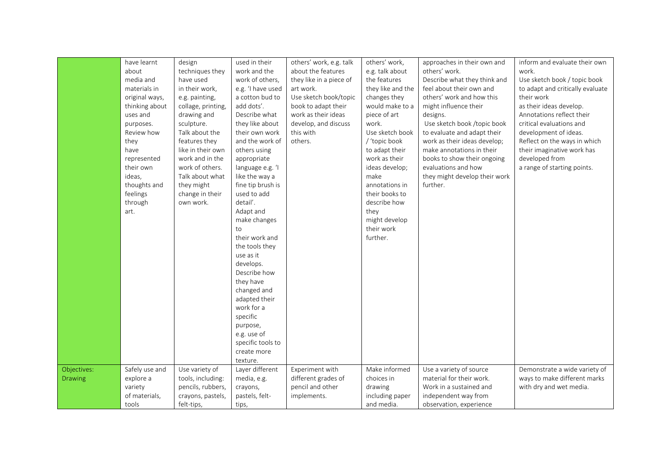|                | have learnt    | design             | used in their     | others' work, e.g. talk | others' work,     | approaches in their own and   | inform and evaluate their own    |
|----------------|----------------|--------------------|-------------------|-------------------------|-------------------|-------------------------------|----------------------------------|
|                | about          | techniques they    | work and the      | about the features      |                   | others' work.                 | work.                            |
|                | media and      |                    |                   |                         | e.g. talk about   |                               |                                  |
|                | materials in   | have used          | work of others,   | they like in a piece of | the features      | Describe what they think and  | Use sketch book / topic book     |
|                |                | in their work,     | e.g. 'I have used | art work.               | they like and the | feel about their own and      | to adapt and critically evaluate |
|                | original ways, | e.g. painting,     | a cotton bud to   | Use sketch book/topic   | changes they      | others' work and how this     | their work                       |
|                | thinking about | collage, printing, | add dots'.        | book to adapt their     | would make to a   | might influence their         | as their ideas develop.          |
|                | uses and       | drawing and        | Describe what     | work as their ideas     | piece of art      | designs.                      | Annotations reflect their        |
|                | purposes.      | sculpture.         | they like about   | develop, and discuss    | work.             | Use sketch book /topic book   | critical evaluations and         |
|                | Review how     | Talk about the     | their own work    | this with               | Use sketch book   | to evaluate and adapt their   | development of ideas.            |
|                | they           | features they      | and the work of   | others.                 | / 'topic book     | work as their ideas develop;  | Reflect on the ways in which     |
|                | have           | like in their own  | others using      |                         | to adapt their    | make annotations in their     | their imaginative work has       |
|                | represented    | work and in the    | appropriate       |                         | work as their     | books to show their ongoing   | developed from                   |
|                | their own      | work of others.    | language e.g. 'I  |                         | ideas develop;    | evaluations and how           | a range of starting points.      |
|                | ideas,         | Talk about what    | like the way a    |                         | make              | they might develop their work |                                  |
|                | thoughts and   | they might         | fine tip brush is |                         | annotations in    | further.                      |                                  |
|                | feelings       | change in their    | used to add       |                         | their books to    |                               |                                  |
|                | through        | own work.          | detail'.          |                         | describe how      |                               |                                  |
|                | art.           |                    | Adapt and         |                         | they              |                               |                                  |
|                |                |                    | make changes      |                         | might develop     |                               |                                  |
|                |                |                    | to                |                         | their work        |                               |                                  |
|                |                |                    | their work and    |                         | further.          |                               |                                  |
|                |                |                    | the tools they    |                         |                   |                               |                                  |
|                |                |                    | use as it         |                         |                   |                               |                                  |
|                |                |                    | develops.         |                         |                   |                               |                                  |
|                |                |                    | Describe how      |                         |                   |                               |                                  |
|                |                |                    | they have         |                         |                   |                               |                                  |
|                |                |                    | changed and       |                         |                   |                               |                                  |
|                |                |                    | adapted their     |                         |                   |                               |                                  |
|                |                |                    | work for a        |                         |                   |                               |                                  |
|                |                |                    |                   |                         |                   |                               |                                  |
|                |                |                    | specific          |                         |                   |                               |                                  |
|                |                |                    | purpose,          |                         |                   |                               |                                  |
|                |                |                    | e.g. use of       |                         |                   |                               |                                  |
|                |                |                    | specific tools to |                         |                   |                               |                                  |
|                |                |                    | create more       |                         |                   |                               |                                  |
|                |                |                    | texture.          |                         |                   |                               |                                  |
| Objectives:    | Safely use and | Use variety of     | Layer different   | Experiment with         | Make informed     | Use a variety of source       | Demonstrate a wide variety of    |
| <b>Drawing</b> | explore a      | tools, including:  | media, e.g.       | different grades of     | choices in        | material for their work.      | ways to make different marks     |
|                | variety        | pencils, rubbers,  | crayons,          | pencil and other        | drawing           | Work in a sustained and       | with dry and wet media.          |
|                | of materials,  | crayons, pastels,  | pastels, felt-    | implements.             | including paper   | independent way from          |                                  |
|                | tools          | felt-tips,         | tips,             |                         | and media.        | observation, experience       |                                  |
|                |                |                    |                   |                         |                   |                               |                                  |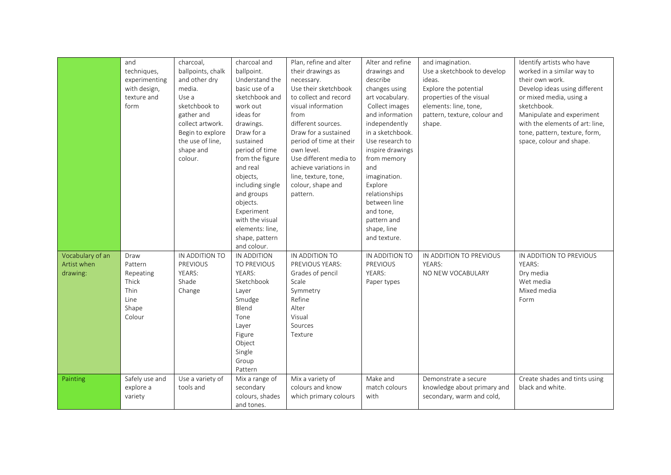| and<br>charcoal and<br>Plan, refine and alter<br>Alter and refine<br>and imagination.<br>charcoal,                         | Identify artists who have                     |
|----------------------------------------------------------------------------------------------------------------------------|-----------------------------------------------|
| techniques,<br>ballpoints, chalk<br>ballpoint.<br>drawings and<br>Use a sketchbook to develop<br>their drawings as         | worked in a similar way to<br>their own work. |
| and other dry<br>Understand the<br>describe<br>experimenting<br>ideas.<br>necessary.<br>basic use of a                     |                                               |
| media.<br>Use their sketchbook<br>Explore the potential<br>with design,<br>changes using                                   | Develop ideas using different                 |
| sketchbook and<br>texture and<br>Use a<br>to collect and record<br>art vocabulary.<br>properties of the visual<br>work out | or mixed media, using a                       |
| sketchbook to<br>form<br>visual information<br>Collect images<br>elements: line, tone,                                     | sketchbook.                                   |
| gather and<br>ideas for<br>from<br>and information<br>pattern, texture, colour and                                         | Manipulate and experiment                     |
| collect artwork.<br>drawings.<br>independently<br>different sources.<br>shape.                                             | with the elements of art: line,               |
| Draw for a<br>in a sketchbook.<br>Begin to explore<br>Draw for a sustained                                                 | tone, pattern, texture, form,                 |
| the use of line.<br>sustained<br>period of time at their<br>Use research to                                                | space, colour and shape.                      |
| shape and<br>period of time<br>own level.<br>inspire drawings                                                              |                                               |
| colour.<br>from the figure<br>Use different media to<br>from memory                                                        |                                               |
| and real<br>achieve variations in<br>and                                                                                   |                                               |
| objects,<br>line, texture, tone,<br>imagination.                                                                           |                                               |
| including single<br>colour, shape and<br>Explore                                                                           |                                               |
| and groups<br>relationships<br>pattern.                                                                                    |                                               |
| objects.<br>between line                                                                                                   |                                               |
| and tone,<br>Experiment                                                                                                    |                                               |
| with the visual<br>pattern and                                                                                             |                                               |
| elements: line,<br>shape, line                                                                                             |                                               |
| shape, pattern<br>and texture.                                                                                             |                                               |
| and colour.                                                                                                                |                                               |
| Vocabulary of an<br>IN ADDITION TO<br>IN ADDITION<br>IN ADDITION TO<br>IN ADDITION TO<br>Draw<br>IN ADDITION TO PREVIOUS   | IN ADDITION TO PREVIOUS                       |
| Artist when<br>PREVIOUS<br>TO PREVIOUS<br>PREVIOUS<br>Pattern<br>PREVIOUS YEARS:<br>YEARS:                                 | YEARS:                                        |
| YEARS:<br>YEARS:<br>Grades of pencil<br>YEARS:<br>NO NEW VOCABULARY<br>drawing:<br>Repeating                               | Dry media                                     |
| Thick<br>Shade<br>Sketchbook<br>Scale<br>Paper types                                                                       | Wet media                                     |
| Thin<br>Change<br>Symmetry<br>Layer                                                                                        | Mixed media                                   |
| Line<br>Smudge<br>Refine                                                                                                   | Form                                          |
| Blend<br>Alter<br>Shape                                                                                                    |                                               |
| Colour<br>Visual<br>Tone                                                                                                   |                                               |
| Layer<br>Sources                                                                                                           |                                               |
| Figure<br>Texture                                                                                                          |                                               |
| Object                                                                                                                     |                                               |
| Single                                                                                                                     |                                               |
| Group                                                                                                                      |                                               |
| Pattern                                                                                                                    |                                               |
|                                                                                                                            |                                               |
| Safely use and<br>Use a variety of<br>Mix a variety of<br>Make and<br>Mix a range of<br>Demonstrate a secure<br>Painting   | Create shades and tints using                 |
| explore a<br>tools and<br>secondary<br>colours and know<br>match colours<br>knowledge about primary and                    | black and white.                              |
| colours, shades<br>which primary colours<br>with<br>secondary, warm and cold,<br>variety                                   |                                               |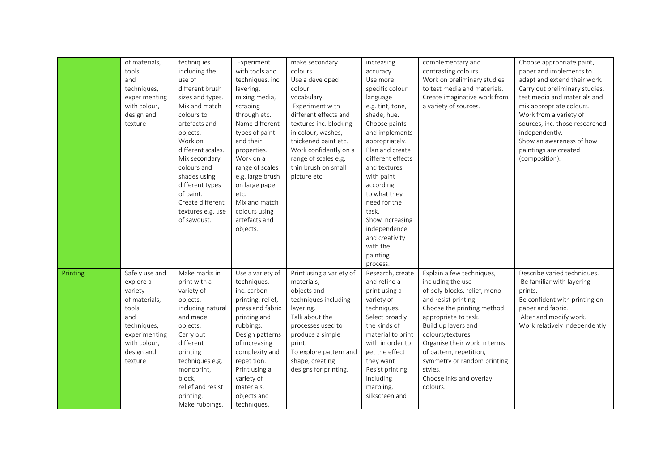| of materials,              | techniques        | Experiment        | make secondary           | increasing        | complementary and            | Choose appropriate paint,      |
|----------------------------|-------------------|-------------------|--------------------------|-------------------|------------------------------|--------------------------------|
| tools                      | including the     | with tools and    | colours.                 |                   |                              | paper and implements to        |
| and                        | use of            |                   |                          | accuracy.         | contrasting colours.         |                                |
|                            |                   | techniques, inc.  | Use a developed          | Use more          | Work on preliminary studies  | adapt and extend their work.   |
| techniques,                | different brush   | layering,         | colour                   | specific colour   | to test media and materials. | Carry out preliminary studies, |
| experimenting              | sizes and types.  | mixing media,     | vocabulary.              | language          | Create imaginative work from | test media and materials and   |
| with colour,               | Mix and match     | scraping          | Experiment with          | e.g. tint, tone,  | a variety of sources.        | mix appropriate colours.       |
| design and                 | colours to        | through etc.      | different effects and    | shade, hue.       |                              | Work from a variety of         |
| texture                    | artefacts and     | Name different    | textures inc. blocking   | Choose paints     |                              | sources, inc. those researched |
|                            | objects.          | types of paint    | in colour, washes,       | and implements    |                              | independently.                 |
|                            | Work on           | and their         | thickened paint etc.     | appropriately.    |                              | Show an awareness of how       |
|                            | different scales. | properties.       | Work confidently on a    | Plan and create   |                              | paintings are created          |
|                            | Mix secondary     | Work on a         | range of scales e.g.     | different effects |                              | (composition).                 |
|                            | colours and       | range of scales   | thin brush on small      | and textures      |                              |                                |
|                            | shades using      | e.g. large brush  | picture etc.             | with paint        |                              |                                |
|                            | different types   | on large paper    |                          | according         |                              |                                |
|                            | of paint.         | etc.              |                          | to what they      |                              |                                |
|                            | Create different  | Mix and match     |                          | need for the      |                              |                                |
|                            | textures e.g. use | colours using     |                          | task.             |                              |                                |
|                            | of sawdust.       | artefacts and     |                          | Show increasing   |                              |                                |
|                            |                   | objects.          |                          | independence      |                              |                                |
|                            |                   |                   |                          | and creativity    |                              |                                |
|                            |                   |                   |                          | with the          |                              |                                |
|                            |                   |                   |                          | painting          |                              |                                |
|                            |                   |                   |                          | process.          |                              |                                |
| Safely use and<br>Printing | Make marks in     | Use a variety of  | Print using a variety of | Research, create  | Explain a few techniques,    | Describe varied techniques.    |
| explore a                  | print with a      | techniques,       | materials,               | and refine a      | including the use            | Be familiar with layering      |
| variety                    | variety of        | inc. carbon       | objects and              | print using a     | of poly-blocks, relief, mono | prints.                        |
| of materials,              | objects,          | printing, relief, | techniques including     | variety of        | and resist printing.         | Be confident with printing on  |
| tools                      | including natural | press and fabric  | layering.                | techniques.       | Choose the printing method   | paper and fabric.              |
| and                        | and made          | printing and      | Talk about the           | Select broadly    | appropriate to task.         | Alter and modify work.         |
| techniques,                | objects.          | rubbings.         | processes used to        | the kinds of      | Build up layers and          | Work relatively independently. |
| experimenting              | Carry out         | Design patterns   | produce a simple         | material to print | colours/textures.            |                                |
| with colour,               | different         | of increasing     | print.                   | with in order to  | Organise their work in terms |                                |
| design and                 | printing          | complexity and    | To explore pattern and   | get the effect    | of pattern, repetition,      |                                |
| texture                    | techniques e.g.   | repetition.       | shape, creating          | they want         | symmetry or random printing  |                                |
|                            | monoprint,        | Print using a     | designs for printing.    | Resist printing   | styles.                      |                                |
|                            | block,            | variety of        |                          | including         | Choose inks and overlay      |                                |
|                            | relief and resist | materials,        |                          | marbling,         | colours.                     |                                |
|                            | printing.         | objects and       |                          | silkscreen and    |                              |                                |
|                            | Make rubbings.    | techniques.       |                          |                   |                              |                                |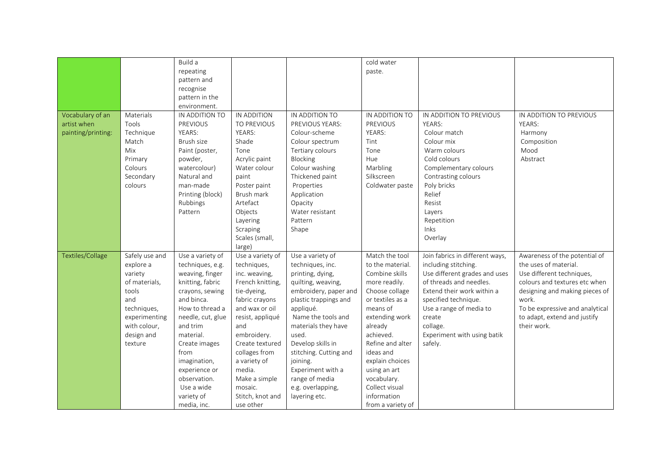|                    |                | Build a           |                  |                        | cold water        |                                 |                                 |
|--------------------|----------------|-------------------|------------------|------------------------|-------------------|---------------------------------|---------------------------------|
|                    |                | repeating         |                  |                        | paste.            |                                 |                                 |
|                    |                | pattern and       |                  |                        |                   |                                 |                                 |
|                    |                | recognise         |                  |                        |                   |                                 |                                 |
|                    |                | pattern in the    |                  |                        |                   |                                 |                                 |
|                    |                | environment.      |                  |                        |                   |                                 |                                 |
| Vocabulary of an   | Materials      | IN ADDITION TO    | IN ADDITION      | IN ADDITION TO         | IN ADDITION TO    | IN ADDITION TO PREVIOUS         | IN ADDITION TO PREVIOUS         |
| artist when        | Tools          | <b>PREVIOUS</b>   | TO PREVIOUS      | PREVIOUS YEARS:        | PREVIOUS          | YEARS:                          | YEARS:                          |
| painting/printing: | Technique      | YEARS:            | YEARS:           | Colour-scheme          | YEARS:            | Colour match                    | Harmony                         |
|                    | Match          | Brush size        | Shade            | Colour spectrum        | Tint              | Colour mix                      | Composition                     |
|                    | Mix            | Paint (poster,    | Tone             | Tertiary colours       | Tone              | Warm colours                    | Mood                            |
|                    | Primary        | powder,           | Acrylic paint    | Blocking               | Hue               | Cold colours                    | Abstract                        |
|                    | Colours        | watercolour)      | Water colour     | Colour washing         | Marbling          | Complementary colours           |                                 |
|                    | Secondary      | Natural and       | paint            | Thickened paint        | Silkscreen        | Contrasting colours             |                                 |
|                    | colours        | man-made          | Poster paint     | Properties             | Coldwater paste   | Poly bricks                     |                                 |
|                    |                | Printing (block)  | Brush mark       | Application            |                   | Relief                          |                                 |
|                    |                | Rubbings          | Artefact         | Opacity                |                   | Resist                          |                                 |
|                    |                | Pattern           | Objects          | Water resistant        |                   | Layers                          |                                 |
|                    |                |                   | Layering         | Pattern                |                   | Repetition                      |                                 |
|                    |                |                   | Scraping         | Shape                  |                   | Inks                            |                                 |
|                    |                |                   | Scales (small,   |                        |                   | Overlay                         |                                 |
|                    |                |                   | large)           |                        |                   |                                 |                                 |
| Textiles/Collage   | Safely use and | Use a variety of  | Use a variety of | Use a variety of       | Match the tool    | Join fabrics in different ways, | Awareness of the potential of   |
|                    | explore a      | techniques, e.g.  | techniques,      | techniques, inc.       | to the material.  | including stitching.            | the uses of material.           |
|                    | variety        | weaving, finger   | inc. weaving,    | printing, dying,       | Combine skills    | Use different grades and uses   | Use different techniques,       |
|                    | of materials,  | knitting, fabric  | French knitting, | quilting, weaving,     | more readily.     | of threads and needles.         | colours and textures etc when   |
|                    | tools          | crayons, sewing   | tie-dyeing,      | embroidery, paper and  | Choose collage    | Extend their work within a      | designing and making pieces of  |
|                    | and            | and binca.        | fabric crayons   | plastic trappings and  | or textiles as a  | specified technique.            | work.                           |
|                    | techniques,    | How to thread a   | and wax or oil   | appliqué.              | means of          | Use a range of media to         | To be expressive and analytical |
|                    | experimenting  | needle, cut, glue | resist, appliqué | Name the tools and     | extending work    | create                          | to adapt, extend and justify    |
|                    | with colour,   | and trim          | and              | materials they have    | already           | collage.                        | their work.                     |
|                    | design and     | material.         | embroidery.      | used.                  | achieved.         | Experiment with using batik     |                                 |
|                    | texture        | Create images     | Create textured  | Develop skills in      | Refine and alter  | safely.                         |                                 |
|                    |                | from              | collages from    | stitching. Cutting and | ideas and         |                                 |                                 |
|                    |                | imagination,      | a variety of     | joining.               | explain choices   |                                 |                                 |
|                    |                | experience or     | media.           | Experiment with a      | using an art      |                                 |                                 |
|                    |                | observation.      | Make a simple    | range of media         | vocabulary.       |                                 |                                 |
|                    |                | Use a wide        | mosaic.          | e.g. overlapping,      | Collect visual    |                                 |                                 |
|                    |                | variety of        | Stitch, knot and | layering etc.          | information       |                                 |                                 |
|                    |                | media, inc.       | use other        |                        | from a variety of |                                 |                                 |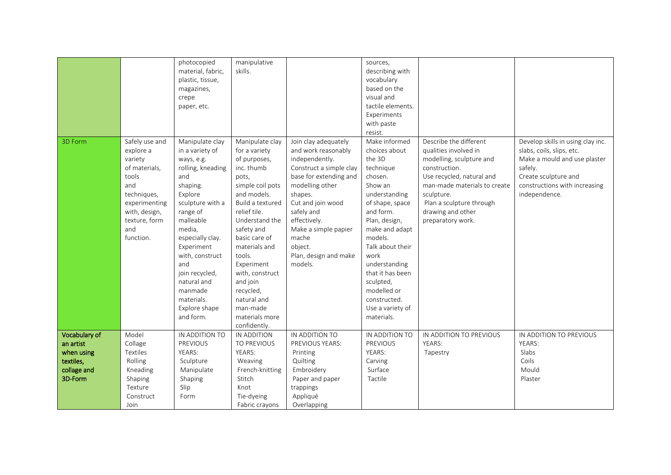|               |                | photocopied       | manipulative     |                         | sources,          |                              |                                   |
|---------------|----------------|-------------------|------------------|-------------------------|-------------------|------------------------------|-----------------------------------|
|               |                | material, fabric, | skills.          |                         | describing with   |                              |                                   |
|               |                | plastic, tissue,  |                  |                         | vocabulary        |                              |                                   |
|               |                | magazines,        |                  |                         | based on the      |                              |                                   |
|               |                | crepe             |                  |                         | visual and        |                              |                                   |
|               |                | paper, etc.       |                  |                         | tactile elements. |                              |                                   |
|               |                |                   |                  |                         | Experiments       |                              |                                   |
|               |                |                   |                  |                         | with paste        |                              |                                   |
|               |                |                   |                  |                         | resist.           |                              |                                   |
| 3D Form       | Safely use and | Manipulate clay   | Manipulate clay  | Join clay adequately    | Make informed     | Describe the different       | Develop skills in using clay inc. |
|               | explore a      | in a variety of   | for a variety    | and work reasonably     | choices about     | qualities involved in        | slabs, coils, slips, etc.         |
|               | variety        | ways, e.g.        | of purposes,     | independently.          | the 3D            | modelling, sculpture and     | Make a mould and use plaster      |
|               | of materials,  | rolling, kneading | inc. thumb       | Construct a simple clay | technique         | construction.                | safely.                           |
|               | tools          | and               | pots,            | base for extending and  | chosen.           | Use recycled, natural and    | Create sculpture and              |
|               | and            | shaping.          | simple coil pots | modelling other         | Show an           | man-made materials to create | constructions with increasing     |
|               | techniques,    | Explore           | and models.      | shapes.                 | understanding     | sculpture.                   | independence.                     |
|               | experimenting  | sculpture with a  | Build a textured | Cut and join wood       | of shape, space   | Plan a sculpture through     |                                   |
|               | with, design,  | range of          | relief tile.     | safely and              | and form.         | drawing and other            |                                   |
|               | texture, form  | malleable         | Understand the   | effectively.            | Plan, design,     | preparatory work.            |                                   |
|               | and            | media,            | safety and       | Make a simple papier    | make and adapt    |                              |                                   |
|               | function.      | especially clay.  | basic care of    | mache                   | models.           |                              |                                   |
|               |                | Experiment        | materials and    | object.                 | Talk about their  |                              |                                   |
|               |                | with, construct   | tools.           | Plan, design and make   | work              |                              |                                   |
|               |                | and               | Experiment       | models.                 | understanding     |                              |                                   |
|               |                | join recycled,    | with, construct  |                         | that it has been  |                              |                                   |
|               |                | natural and       | and join         |                         | sculpted,         |                              |                                   |
|               |                | manmade           | recycled,        |                         | modelled or       |                              |                                   |
|               |                | materials.        | natural and      |                         | constructed.      |                              |                                   |
|               |                | Explore shape     | man-made         |                         | Use a variety of  |                              |                                   |
|               |                | and form.         | materials more   |                         | materials.        |                              |                                   |
|               |                |                   | confidently.     |                         |                   |                              |                                   |
| Vocabulary of | Model          | IN ADDITION TO    | IN ADDITION      | IN ADDITION TO          | IN ADDITION TO    | IN ADDITION TO PREVIOUS      | IN ADDITION TO PREVIOUS           |
| an artist     | Collage        | <b>PREVIOUS</b>   | TO PREVIOUS      | PREVIOUS YEARS:         | PREVIOUS          | YEARS:                       | YEARS:                            |
| when using    | Textiles       | YEARS:            | YEARS:           | Printing                | YEARS:            | Tapestry                     | Slabs                             |
| textiles,     | Rolling        | Sculpture         | Weaving          | Quilting                | Carving           |                              | Coils                             |
| collage and   | Kneading       | Manipulate        | French-knitting  | Embroidery              | Surface           |                              | Mould                             |
| 3D-Form       | Shaping        | Shaping           | Stitch           | Paper and paper         | Tactile           |                              | Plaster                           |
|               | Texture        | Slip              | Knot             | trappings               |                   |                              |                                   |
|               | Construct      | Form              | Tie-dyeing       | Appliqué                |                   |                              |                                   |
|               | Join           |                   | Fabric crayons   | Overlapping             |                   |                              |                                   |